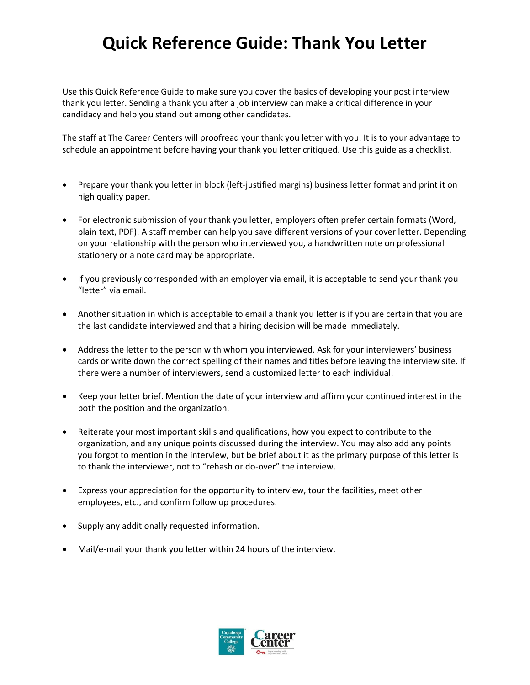## **Quick Reference Guide: Thank You Letter**

Use this Quick Reference Guide to make sure you cover the basics of developing your post interview thank you letter. Sending a thank you after a job interview can make a critical difference in your candidacy and help you stand out among other candidates.

The staff at The Career Centers will proofread your thank you letter with you. It is to your advantage to schedule an appointment before having your thank you letter critiqued. Use this guide as a checklist.

- Prepare your thank you letter in block (left-justified margins) business letter format and print it on high quality paper.
- For electronic submission of your thank you letter, employers often prefer certain formats (Word, plain text, PDF). A staff member can help you save different versions of your cover letter. Depending on your relationship with the person who interviewed you, a handwritten note on professional stationery or a note card may be appropriate.
- If you previously corresponded with an employer via email, it is acceptable to send your thank you "letter" via email.
- Another situation in which is acceptable to email a thank you letter is if you are certain that you are the last candidate interviewed and that a hiring decision will be made immediately.
- Address the letter to the person with whom you interviewed. Ask for your interviewers' business cards or write down the correct spelling of their names and titles before leaving the interview site. If there were a number of interviewers, send a customized letter to each individual.
- Keep your letter brief. Mention the date of your interview and affirm your continued interest in the both the position and the organization.
- Reiterate your most important skills and qualifications, how you expect to contribute to the organization, and any unique points discussed during the interview. You may also add any points you forgot to mention in the interview, but be brief about it as the primary purpose of this letter is to thank the interviewer, not to "rehash or do-over" the interview.
- Express your appreciation for the opportunity to interview, tour the facilities, meet other employees, etc., and confirm follow up procedures.
- Supply any additionally requested information.
- Mail/e-mail your thank you letter within 24 hours of the interview.